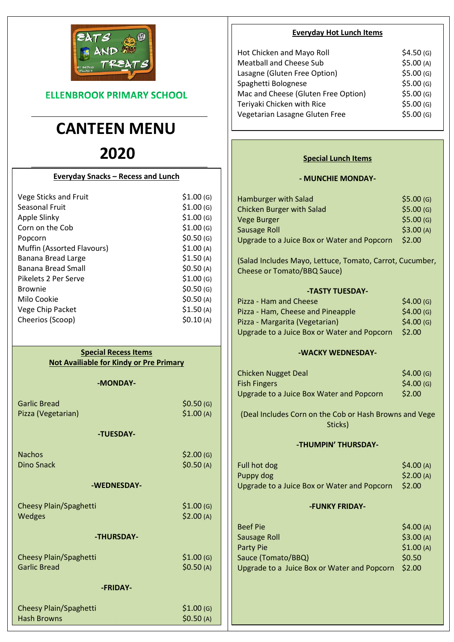

**ELLENBROOK PRIMARY SCHOOL** 

# CANTEEN MENU

# 2020

| <b>Everyday Snacks - Recess and Lunch</b> |           |
|-------------------------------------------|-----------|
| Vege Sticks and Fruit                     | \$1.00(G) |
| Seasonal Fruit                            | \$1.00(G) |
| Apple Slinky                              | \$1.00(G) |
| Corn on the Cob                           | \$1.00(G) |
| Popcorn                                   | \$0.50(G) |
| Muffin (Assorted Flavours)                | \$1.00(A) |
| Banana Bread Large                        | \$1.50(A) |
| Banana Bread Small                        | \$0.50(A) |
| Pikelets 2 Per Serve                      | \$1.00(G) |
| <b>Brownie</b>                            | \$0.50(G) |
| Milo Cookie                               | \$0.50(A) |
| Vege Chip Packet                          | \$1.50(A) |
| Cheerios (Scoop)                          | \$0.10(A) |

# Special Recess Items Not Availiable for Kindy or Pre Primary

## -MONDAY-

| <b>Garlic Bread</b>           | \$0.50(G) |
|-------------------------------|-----------|
| Pizza (Vegetarian)            | \$1.00(A) |
| -TUESDAY-                     |           |
| <b>Nachos</b>                 | \$2.00(G) |
| <b>Dino Snack</b>             | \$0.50(A) |
| -WEDNESDAY-                   |           |
| <b>Cheesy Plain/Spaghetti</b> | \$1.00(G) |
| Wedges                        | \$2.00(A) |
| -THURSDAY-                    |           |
| Cheesy Plain/Spaghetti        | \$1.00(G) |
| <b>Garlic Bread</b>           | \$0.50(A) |
| -FRIDAY-                      |           |
| Cheesy Plain/Spaghetti        | \$1.00(G) |
| <b>Hash Browns</b>            | \$0.50(A) |

## Everyday Hot Lunch Items

| Hot Chicken and Mayo Roll           | \$4.50(G) |
|-------------------------------------|-----------|
| <b>Meatball and Cheese Sub</b>      | \$5.00(A) |
| Lasagne (Gluten Free Option)        | \$5.00(G) |
| Spaghetti Bolognese                 | \$5.00(G) |
| Mac and Cheese (Gluten Free Option) | \$5.00(G) |
| Teriyaki Chicken with Rice          | \$5.00(G) |
| Vegetarian Lasagne Gluten Free      | \$5.00(G) |
|                                     |           |

# Special Lunch Items

## - MUNCHIE MONDAY-

| Hamburger with Salad                        | \$5.00(G) |
|---------------------------------------------|-----------|
| <b>Chicken Burger with Salad</b>            | \$5.00(G) |
| Vege Burger                                 | \$5.00(G) |
| Sausage Roll                                | \$3.00(A) |
| Upgrade to a Juice Box or Water and Popcorn | \$2.00    |

(Salad Includes Mayo, Lettuce, Tomato, Carrot, Cucumber, Cheese or Tomato/BBQ Sauce)

## -TASTY TUESDAY-

| Pizza - Ham and Cheese                      | \$4.00(G) |
|---------------------------------------------|-----------|
| Pizza - Ham, Cheese and Pineapple           | \$4.00(G) |
| Pizza - Margarita (Vegetarian)              | \$4.00(G) |
| Upgrade to a Juice Box or Water and Popcorn | \$2.00    |

## -WACKY WEDNESDAY-

| Chicken Nugget Deal                      | \$4.00(G) |
|------------------------------------------|-----------|
| <b>Fish Fingers</b>                      | \$4.00(G) |
| Upgrade to a Juice Box Water and Popcorn | \$2.00    |

(Deal Includes Corn on the Cob or Hash Browns and Vege Sticks)

## -THUMPIN' THURSDAY-

| Full hot dog                                | \$4.00(A) |
|---------------------------------------------|-----------|
| Puppy dog                                   | \$2.00(A) |
| Upgrade to a Juice Box or Water and Popcorn | \$2.00    |

# -FUNKY FRIDAY-

| <b>Beef Pie</b>                             | \$4.00(A) |
|---------------------------------------------|-----------|
| <b>Sausage Roll</b>                         | \$3.00(A) |
| Party Pie                                   | \$1.00(A) |
| Sauce (Tomato/BBQ)                          | \$0.50    |
| Upgrade to a Juice Box or Water and Popcorn | \$2.00    |